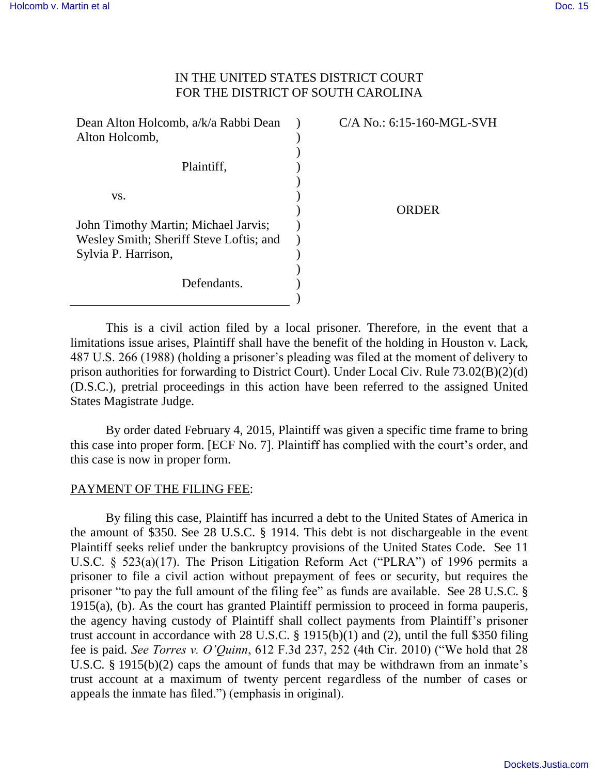## IN THE UNITED STATES DISTRICT COURT FOR THE DISTRICT OF SOUTH CAROLINA

| Dean Alton Holcomb, a/k/a Rabbi Dean    | C/A No.: 6:15-160-MGL-SVH |
|-----------------------------------------|---------------------------|
| Alton Holcomb,                          |                           |
|                                         |                           |
| Plaintiff,                              |                           |
|                                         |                           |
| VS.                                     |                           |
|                                         | ORDER                     |
| John Timothy Martin; Michael Jarvis;    |                           |
| Wesley Smith; Sheriff Steve Loftis; and |                           |
| Sylvia P. Harrison,                     |                           |
|                                         |                           |
| Defendants.                             |                           |
|                                         |                           |

 This is a civil action filed by a local prisoner. Therefore, in the event that a limitations issue arises, Plaintiff shall have the benefit of the holding in Houston v. Lack, 487 U.S. 266 (1988) (holding a prisoner's pleading was filed at the moment of delivery to prison authorities for forwarding to District Court). Under Local Civ. Rule 73.02(B)(2)(d) (D.S.C.), pretrial proceedings in this action have been referred to the assigned United States Magistrate Judge.

 By order dated February 4, 2015, Plaintiff was given a specific time frame to bring this case into proper form. [ECF No. 7]. Plaintiff has complied with the court's order, and this case is now in proper form.

## PAYMENT OF THE FILING FEE:

By filing this case, Plaintiff has incurred a debt to the United States of America in the amount of \$350. See 28 U.S.C. § 1914. This debt is not dischargeable in the event Plaintiff seeks relief under the bankruptcy provisions of the United States Code. See 11 U.S.C. § 523(a)(17). The Prison Litigation Reform Act ("PLRA") of 1996 permits a prisoner to file a civil action without prepayment of fees or security, but requires the prisoner "to pay the full amount of the filing fee" as funds are available. See 28 U.S.C. § 1915(a), (b). As the court has granted Plaintiff permission to proceed in forma pauperis, the agency having custody of Plaintiff shall collect payments from Plaintiff's prisoner trust account in accordance with 28 U.S.C. § 1915(b)(1) and (2), until the full \$350 filing fee is paid. *See Torres v. O'Quinn*, 612 F.3d 237, 252 (4th Cir. 2010) ("We hold that 28 U.S.C. § 1915(b)(2) caps the amount of funds that may be withdrawn from an inmate's trust account at a maximum of twenty percent regardless of the number of cases or appeals the inmate has filed.") (emphasis in original).